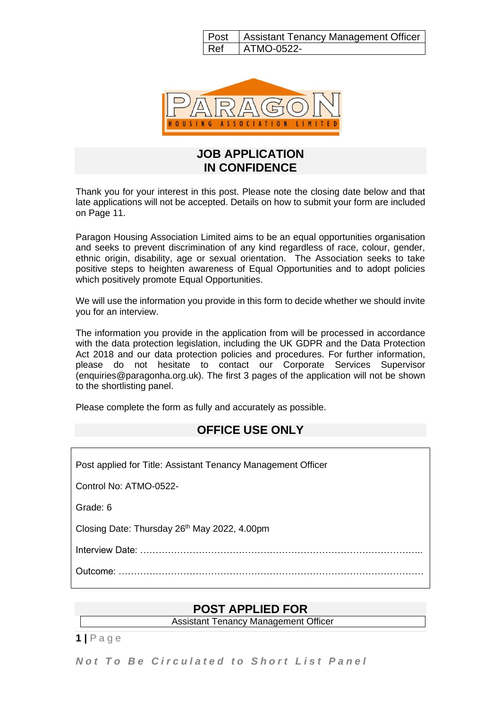|     | Post   Assistant Tenancy Management Officer |
|-----|---------------------------------------------|
| Ref | ATMO-0522-                                  |



#### **JOB APPLICATION IN CONFIDENCE**

Thank you for your interest in this post. Please note the closing date below and that late applications will not be accepted. Details on how to submit your form are included on Page 11.

Paragon Housing Association Limited aims to be an equal opportunities organisation and seeks to prevent discrimination of any kind regardless of race, colour, gender, ethnic origin, disability, age or sexual orientation. The Association seeks to take positive steps to heighten awareness of Equal Opportunities and to adopt policies which positively promote Equal Opportunities.

We will use the information you provide in this form to decide whether we should invite you for an interview.

The information you provide in the application from will be processed in accordance with the data protection legislation, including the UK GDPR and the Data Protection Act 2018 and our data protection policies and procedures. For further information, please do not hesitate to contact our Corporate Services Supervisor (enquiries@paragonha.org.uk). The first 3 pages of the application will not be shown to the shortlisting panel.

Please complete the form as fully and accurately as possible.

### **OFFICE USE ONLY**

Post applied for Title: Assistant Tenancy Management Officer Control No: ATMO-0522- Grade: 6 Closing Date: Thursday 26<sup>th</sup> May 2022, 4.00pm Interview Date: ……………………………………………………………………………….. Outcome: ………………………………………………………………………………………

### **POST APPLIED FOR**

Assistant Tenancy Management Officer

**1 |** P a g e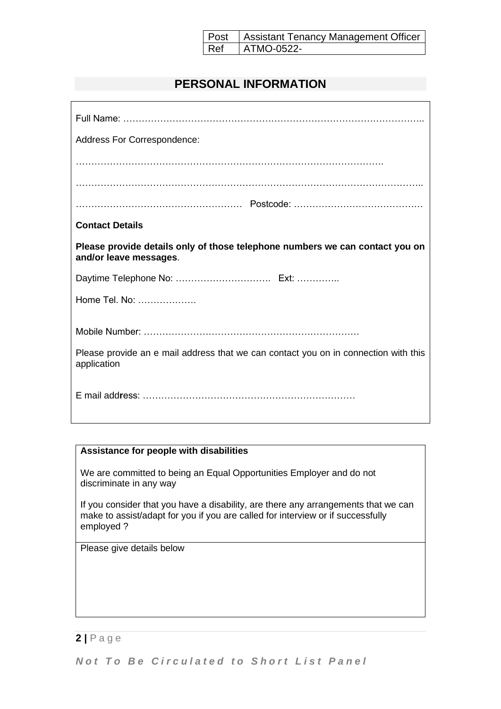|     | Post   Assistant Tenancy Management Officer |
|-----|---------------------------------------------|
| Ref | ATMO-0522-                                  |

# **PERSONAL INFORMATION**

| Address For Correspondence:                                                                            |  |  |  |  |
|--------------------------------------------------------------------------------------------------------|--|--|--|--|
|                                                                                                        |  |  |  |  |
|                                                                                                        |  |  |  |  |
|                                                                                                        |  |  |  |  |
| <b>Contact Details</b>                                                                                 |  |  |  |  |
| Please provide details only of those telephone numbers we can contact you on<br>and/or leave messages. |  |  |  |  |
|                                                                                                        |  |  |  |  |
| Home Tel. No:                                                                                          |  |  |  |  |
|                                                                                                        |  |  |  |  |
| Please provide an e mail address that we can contact you on in connection with this<br>application     |  |  |  |  |
|                                                                                                        |  |  |  |  |

#### **Assistance for people with disabilities**

We are committed to being an Equal Opportunities Employer and do not discriminate in any way

If you consider that you have a disability, are there any arrangements that we can make to assist/adapt for you if you are called for interview or if successfully employed ?

Please give details below

### **2 |** P a g e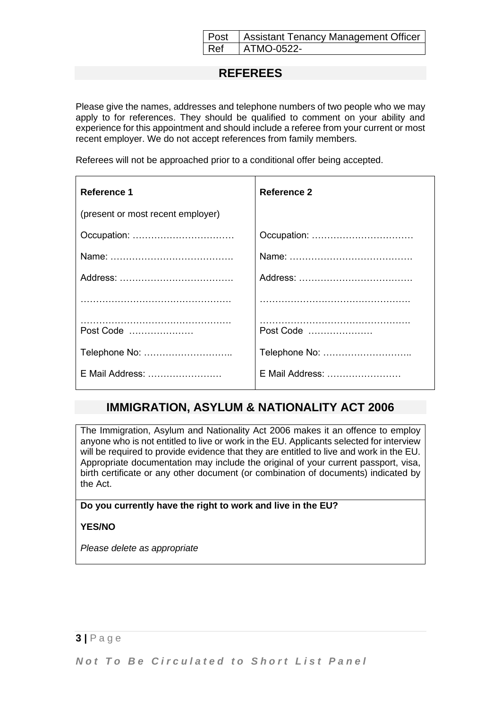|            | Post   Assistant Tenancy Management Officer |
|------------|---------------------------------------------|
| <b>Ref</b> | ATMO-0522-                                  |

### **REFEREES**

Please give the names, addresses and telephone numbers of two people who we may apply to for references. They should be qualified to comment on your ability and experience for this appointment and should include a referee from your current or most recent employer. We do not accept references from family members.

Referees will not be approached prior to a conditional offer being accepted.

| Reference 1                       | Reference 2     |  |
|-----------------------------------|-----------------|--|
| (present or most recent employer) |                 |  |
|                                   | Occupation:     |  |
|                                   |                 |  |
|                                   |                 |  |
|                                   |                 |  |
| Post Code                         | Post Code       |  |
| Telephone No:                     |                 |  |
| E Mail Address:                   | E Mail Address: |  |

### **IMMIGRATION, ASYLUM & NATIONALITY ACT 2006**

The Immigration, Asylum and Nationality Act 2006 makes it an offence to employ anyone who is not entitled to live or work in the EU. Applicants selected for interview will be required to provide evidence that they are entitled to live and work in the EU. Appropriate documentation may include the original of your current passport, visa, birth certificate or any other document (or combination of documents) indicated by the Act.

#### **Do you currently have the right to work and live in the EU?**

#### **YES/NO**

*Please delete as appropriate*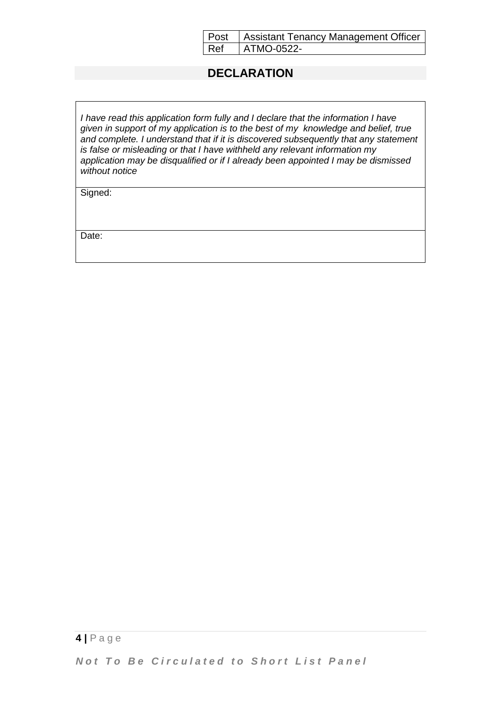|            | Post   Assistant Tenancy Management Officer |
|------------|---------------------------------------------|
| <b>Ref</b> | ATMO-0522-                                  |

### **DECLARATION**

*I have read this application form fully and I declare that the information I have given in support of my application is to the best of my knowledge and belief, true and complete. I understand that if it is discovered subsequently that any statement is false or misleading or that I have withheld any relevant information my application may be disqualified or if I already been appointed I may be dismissed without notice*

Signed:

Date: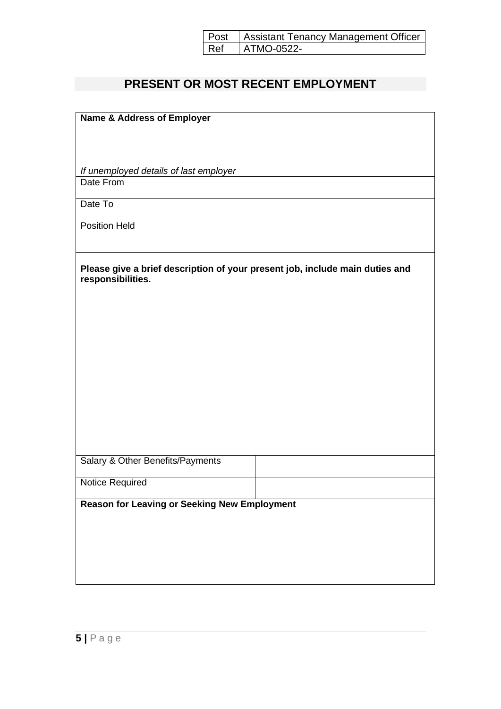| Post   Assistant Tenancy Management Officer      |
|--------------------------------------------------|
| $\left  \right.$ Ref $\left  \right.$ ATMO-0522- |

# **PRESENT OR MOST RECENT EMPLOYMENT**

| <b>Name &amp; Address of Employer</b>                                                             |  |  |  |  |
|---------------------------------------------------------------------------------------------------|--|--|--|--|
|                                                                                                   |  |  |  |  |
|                                                                                                   |  |  |  |  |
|                                                                                                   |  |  |  |  |
| If unemployed details of last employer                                                            |  |  |  |  |
| Date From                                                                                         |  |  |  |  |
|                                                                                                   |  |  |  |  |
| Date To                                                                                           |  |  |  |  |
| <b>Position Held</b>                                                                              |  |  |  |  |
|                                                                                                   |  |  |  |  |
| Please give a brief description of your present job, include main duties and<br>responsibilities. |  |  |  |  |
|                                                                                                   |  |  |  |  |
|                                                                                                   |  |  |  |  |
|                                                                                                   |  |  |  |  |
|                                                                                                   |  |  |  |  |
|                                                                                                   |  |  |  |  |
|                                                                                                   |  |  |  |  |
|                                                                                                   |  |  |  |  |
|                                                                                                   |  |  |  |  |
|                                                                                                   |  |  |  |  |
|                                                                                                   |  |  |  |  |
|                                                                                                   |  |  |  |  |
|                                                                                                   |  |  |  |  |
| Salary & Other Benefits/Payments                                                                  |  |  |  |  |
|                                                                                                   |  |  |  |  |
| Notice Required                                                                                   |  |  |  |  |
| <b>Reason for Leaving or Seeking New Employment</b>                                               |  |  |  |  |
|                                                                                                   |  |  |  |  |
|                                                                                                   |  |  |  |  |
|                                                                                                   |  |  |  |  |
|                                                                                                   |  |  |  |  |
|                                                                                                   |  |  |  |  |
|                                                                                                   |  |  |  |  |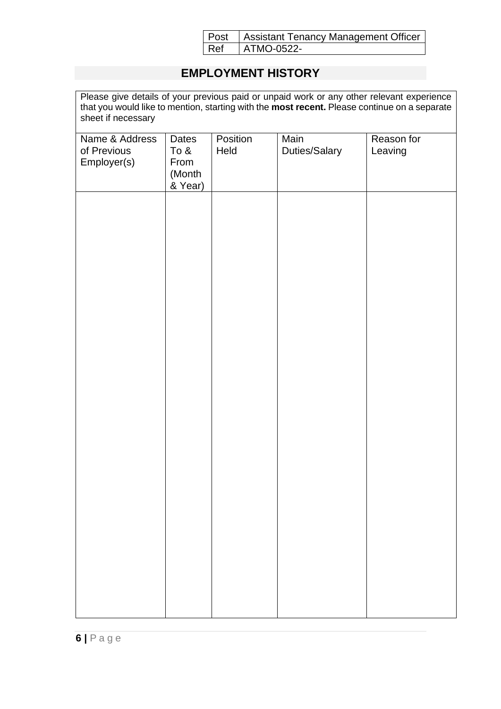| Post | Assistant Tenancy Management Officer |
|------|--------------------------------------|
| Ref  | ATMO-0522-                           |

# **EMPLOYMENT HISTORY**

Please give details of your previous paid or unpaid work or any other relevant experience that you would like to mention, starting with the **most recent.** Please continue on a separate sheet if necessary

| Name & Address<br>of Previous<br>Employer(s) | Dates<br>To &<br>From<br>(Month<br>& Year) | Position<br>Held | Main<br>Duties/Salary | Reason for<br>Leaving |
|----------------------------------------------|--------------------------------------------|------------------|-----------------------|-----------------------|
|                                              |                                            |                  |                       |                       |
|                                              |                                            |                  |                       |                       |
|                                              |                                            |                  |                       |                       |
|                                              |                                            |                  |                       |                       |
|                                              |                                            |                  |                       |                       |
|                                              |                                            |                  |                       |                       |
|                                              |                                            |                  |                       |                       |
|                                              |                                            |                  |                       |                       |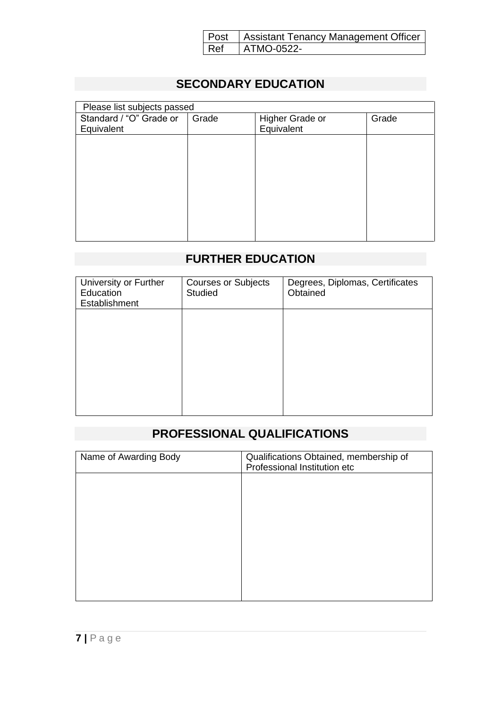|     | Post   Assistant Tenancy Management Officer |
|-----|---------------------------------------------|
| Ref | ATMO-0522-                                  |

# **SECONDARY EDUCATION**

| Please list subjects passed |       |                 |       |  |  |
|-----------------------------|-------|-----------------|-------|--|--|
| Standard / "O" Grade or     | Grade | Higher Grade or | Grade |  |  |
| Equivalent                  |       | Equivalent      |       |  |  |
|                             |       |                 |       |  |  |
|                             |       |                 |       |  |  |
|                             |       |                 |       |  |  |
|                             |       |                 |       |  |  |
|                             |       |                 |       |  |  |
|                             |       |                 |       |  |  |
|                             |       |                 |       |  |  |
|                             |       |                 |       |  |  |
|                             |       |                 |       |  |  |

# **FURTHER EDUCATION**

| University or Further<br>Education<br>Establishment | <b>Courses or Subjects</b><br><b>Studied</b> | Degrees, Diplomas, Certificates<br>Obtained |
|-----------------------------------------------------|----------------------------------------------|---------------------------------------------|
|                                                     |                                              |                                             |
|                                                     |                                              |                                             |
|                                                     |                                              |                                             |
|                                                     |                                              |                                             |

# **PROFESSIONAL QUALIFICATIONS**

| Name of Awarding Body | Qualifications Obtained, membership of<br>Professional Institution etc |
|-----------------------|------------------------------------------------------------------------|
|                       |                                                                        |
|                       |                                                                        |
|                       |                                                                        |
|                       |                                                                        |
|                       |                                                                        |
|                       |                                                                        |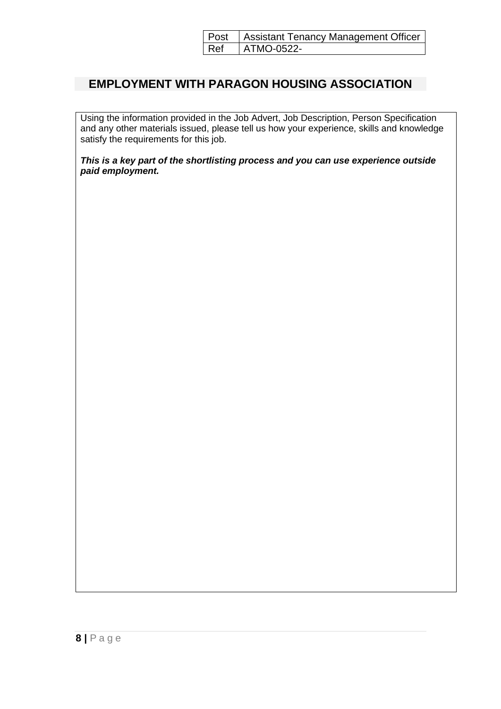|     | Post   Assistant Tenancy Management Officer |
|-----|---------------------------------------------|
| Ref | ATMO-0522-                                  |

## **EMPLOYMENT WITH PARAGON HOUSING ASSOCIATION**

Using the information provided in the Job Advert, Job Description, Person Specification and any other materials issued, please tell us how your experience, skills and knowledge satisfy the requirements for this job.

*This is a key part of the shortlisting process and you can use experience outside paid employment.*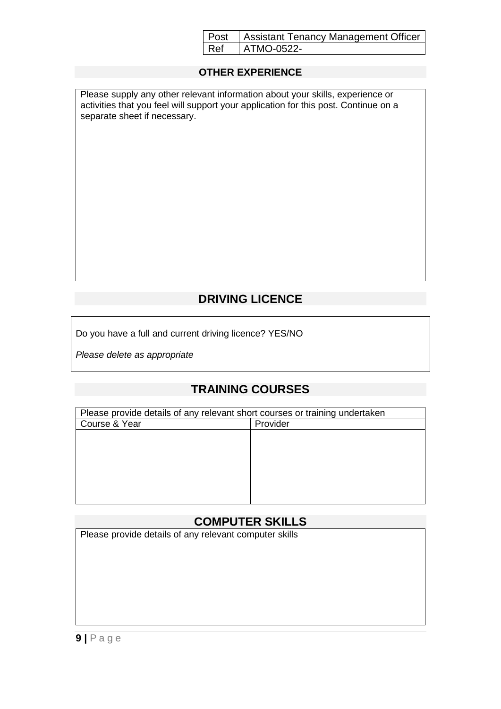|     | Post   Assistant Tenancy Management Officer |
|-----|---------------------------------------------|
| Ref | ATMO-0522-                                  |

#### **OTHER EXPERIENCE**

Please supply any other relevant information about your skills, experience or activities that you feel will support your application for this post. Continue on a separate sheet if necessary.

# **DRIVING LICENCE**

Do you have a full and current driving licence? YES/NO

*Please delete as appropriate*

# **TRAINING COURSES**

| Please provide details of any relevant short courses or training undertaken |          |
|-----------------------------------------------------------------------------|----------|
| Course & Year                                                               | Provider |
|                                                                             |          |
|                                                                             |          |
|                                                                             |          |
|                                                                             |          |
|                                                                             |          |
|                                                                             |          |
|                                                                             |          |

### **COMPUTER SKILLS**

Please provide details of any relevant computer skills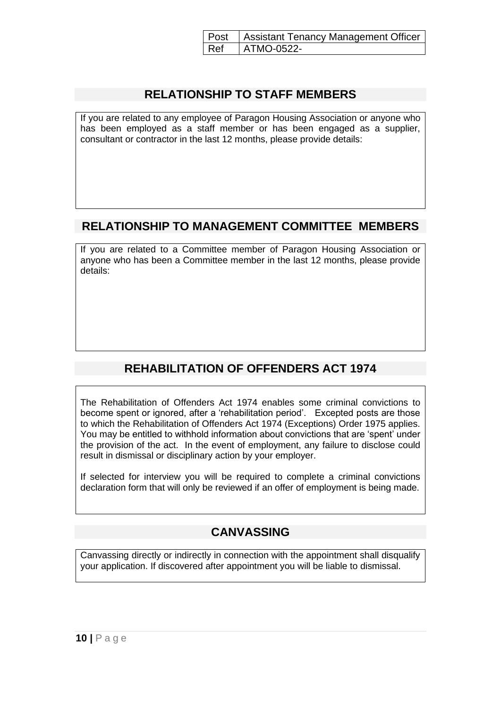|     | Post   Assistant Tenancy Management Officer |
|-----|---------------------------------------------|
| Ref | ATMO-0522-                                  |

### **RELATIONSHIP TO STAFF MEMBERS**

If you are related to any employee of Paragon Housing Association or anyone who has been employed as a staff member or has been engaged as a supplier, consultant or contractor in the last 12 months, please provide details:

## **RELATIONSHIP TO MANAGEMENT COMMITTEE MEMBERS**

If you are related to a Committee member of Paragon Housing Association or anyone who has been a Committee member in the last 12 months, please provide details:

# **REHABILITATION OF OFFENDERS ACT 1974**

The Rehabilitation of Offenders Act 1974 enables some criminal convictions to become spent or ignored, after a 'rehabilitation period'. Excepted posts are those to which the Rehabilitation of Offenders Act 1974 (Exceptions) Order 1975 applies. You may be entitled to withhold information about convictions that are 'spent' under the provision of the act. In the event of employment, any failure to disclose could result in dismissal or disciplinary action by your employer.

If selected for interview you will be required to complete a criminal convictions declaration form that will only be reviewed if an offer of employment is being made.

# **CANVASSING**

Canvassing directly or indirectly in connection with the appointment shall disqualify your application. If discovered after appointment you will be liable to dismissal.